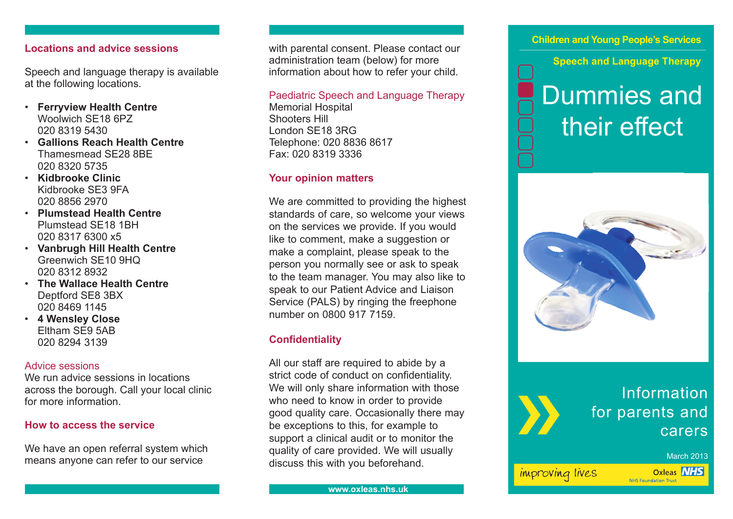# **Locations and advice sessions**

Speech and language therapy is available at the following locations.

- **Ferryview Health Centre** Woolwich SE18 6PZ 020 8319 5430
- **Gallions Reach Health Centre** Thamesmead SE28 8BE 020 8320 5735
- **Kidbrooke Clinic** Kidbrooke SE3 9FA 020 8856 2970
- **Plumstead Health Centre** Plumstead SE18 1BH 020 8317 6300 x5
- **Vanbrugh Hill Health Centre** Greenwich SE10 9HQ 020 8312 8932
- **The Wallace Health Centre** Deptford SE8 3BX 020 8469 1145
- **4 Wensley Close** Eltham SE9 5AB 020 8294 3139

# Advice sessions

We run advice sessions in locations across the borough. Call your local clinic for more information.

# **How to access the service**

We have an open referral system which means anyone can refer to our service

with parental consent. Please contact our administration team (below) for more information about how to refer your child.

### Paediatric Speech and Language Therapy

Memorial Hospital Shooters Hill London SE18 3RG Telephone: 020 8836 8617 Fax: 020 8319 3336

# **Your opinion matters**

We are committed to providing the highest standards of care, so welcome your views on the services we provide. If you would like to comment, make a suggestion or make a complaint, please speak to the person you normally see or ask to speak to the team manager. You may also like to speak to our Patient Advice and Liaison Service (PALS) by ringing the freephone number on 0800 917 7159.

# **Confidentiality**

All our staff are required to abide by a strict code of conduct on confidentiality. We will only share information with those who need to know in order to provide good quality care. Occasionally there may be exceptions to this, for example to support a clinical audit or to monitor the quality of care provided. We will usually discuss this with you beforehand.

# **Children and Young People's Services**

**Speech and Language Therapy**

# Dummies and their effect



# Information for parents and carers

#### March 2013

improving lives

**Oxleas NHS NHS Foundation Trust**